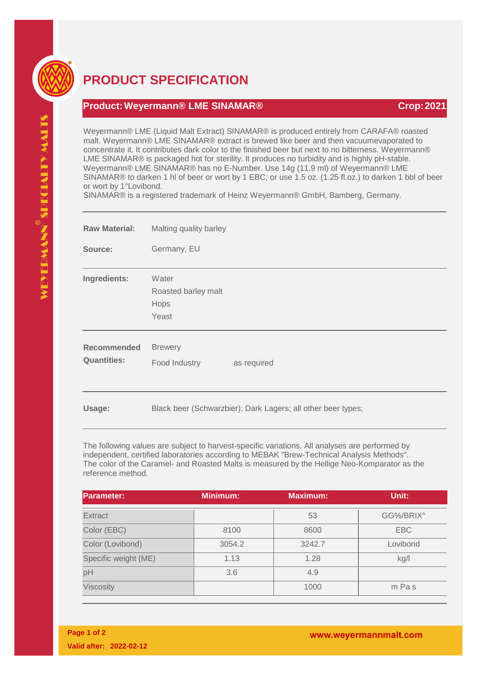

## **PRODUCT SPECIFICATION**

## **Product:Weyermann® LME SINAMAR® Crop:2021**

Weyermann® LME (Liquid Malt Extract) SINAMAR® is produced entirely from CARAFA® roasted malt. Weyermann® LME SINAMAR® extract is brewed like beer and then vacuumevaporated to concentrate it. It contributes dark color to the finished beer but next to no bitterness. Weyermann® LME SINAMAR® is packaged hot for sterility. It produces no turbidity and is highly pH-stable. Weyermann® LME SINAMAR® has no E-Number. Use 14g (11.9 ml) of Weyermann® LME SINAMAR® to darken 1 hl of beer or wort by 1 EBC; or use 1.5 oz. (1.25 fl.oz.) to darken 1 bbl of beer or wort by 1°Lovibond.

SINAMAR® is a registered trademark of Heinz Weyermann® GmbH, Bamberg, Germany.

| <b>Raw Material:</b>                     | Malting quality barley                                       |
|------------------------------------------|--------------------------------------------------------------|
| Source:                                  | Germany, EU                                                  |
| Ingredients:                             | Water<br>Roasted barley malt<br>Hops<br>Yeast                |
| <b>Recommended</b><br><b>Quantities:</b> | <b>Brewery</b><br>Food Industry<br>as required               |
| Usage:                                   | Black beer (Schwarzbier); Dark Lagers; all other beer types; |

The following values are subject to harvest-specific variations. All analyses are performed by independent, certified laboratories according to MEBAK "Brew-Technical Analysis Methods". The color of the Caramel- and Roasted Malts is measured by the Hellige Neo-Komparator as the reference method.

| <b>Parameter:</b>    | <b>Minimum:</b> | <b>Maximum:</b> | Unit:      |
|----------------------|-----------------|-----------------|------------|
| <b>Extract</b>       |                 | 53              | GG%/BRIX°  |
| Color (EBC)          | 8100            | 8600            | <b>EBC</b> |
| Color (Lovibond)     | 3054.2          | 3242.7          | Lovibond   |
| Specific weight (ME) | 1.13            | 1.28            | kg/l       |
| pH                   | 3.6             | 4.9             |            |
| Viscosity            |                 | 1000            | m Pas      |